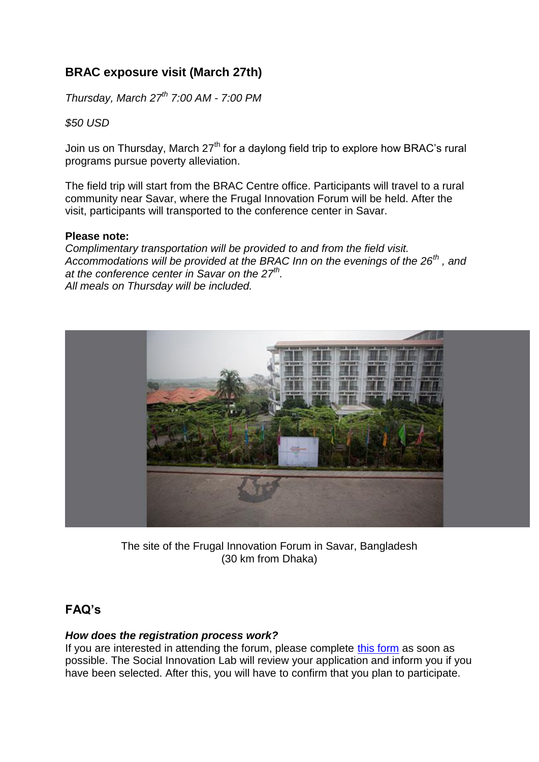# **BRAC exposure visit (March 27th)**

*Thursday, March 27th 7:00 AM - 7:00 PM*

*\$50 USD*

Join us on Thursday, March 27<sup>th</sup> for a daylong field trip to explore how BRAC's rural programs pursue poverty alleviation.

The field trip will start from the BRAC Centre office. Participants will travel to a rural community near Savar, where the Frugal Innovation Forum will be held. After the visit, participants will transported to the conference center in Savar.

## **Please note:**

*Complimentary transportation will be provided to and from the field visit. Accommodations will be provided at the BRAC Inn on the evenings of the 26th , and at the conference center in Savar on the 27th . All meals on Thursday will be included.*



The site of the Frugal Innovation Forum in Savar, Bangladesh (30 km from Dhaka)

# **FAQ's**

## *How does the registration process work?*

If you are interested in attending the forum, please complete [this form](https://docs.google.com/forms/d/1TRRFbB7aQIKII5L-TMIknCDogqmP7NxIykC-ECal89E/viewform) as soon as possible. The Social Innovation Lab will review your application and inform you if you have been selected. After this, you will have to confirm that you plan to participate.